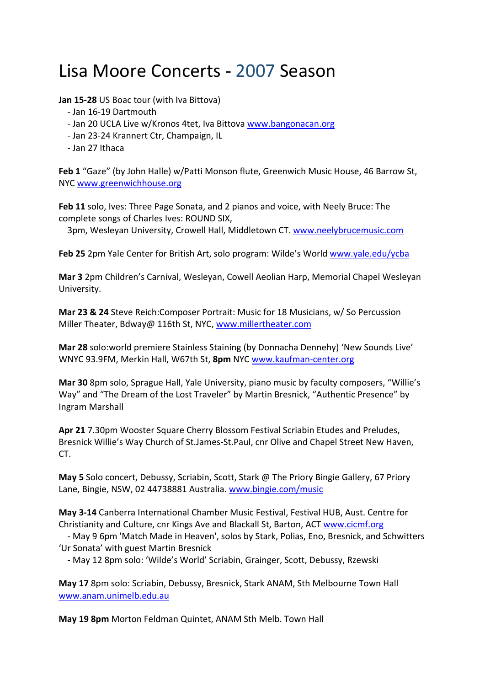## Lisa Moore Concerts ‐ 2007 Season

**Jan 15‐28** US Boac tour (with Iva Bittova)

- ‐ Jan 16‐19 Dartmouth
- Jan 20 UCLA Live w/Kronos 4tet, Iva Bittova www.bangonacan.org
- ‐ Jan 23‐24 Krannert Ctr, Champaign, IL
- ‐ Jan 27 Ithaca

**Feb 1** "Gaze" (by John Halle) w/Patti Monson flute, Greenwich Music House, 46 Barrow St, NYC www.greenwichhouse.org

**Feb 11** solo, Ives: Three Page Sonata, and 2 pianos and voice, with Neely Bruce: The complete songs of Charles Ives: ROUND SIX,

3pm, Wesleyan University, Crowell Hall, Middletown CT. www.neelybrucemusic.com

**Feb 25** 2pm Yale Center for British Art, solo program: Wilde's World www.yale.edu/ycba

**Mar 3** 2pm Children's Carnival, Wesleyan, Cowell Aeolian Harp, Memorial Chapel Wesleyan University.

**Mar 23 & 24** Steve Reich:Composer Portrait: Music for 18 Musicians, w/ So Percussion Miller Theater, Bdway@ 116th St, NYC, www.millertheater.com

**Mar 28** solo:world premiere Stainless Staining (by Donnacha Dennehy) 'New Sounds Live' WNYC 93.9FM, Merkin Hall, W67th St, **8pm** NYC www.kaufman‐center.org

**Mar 30** 8pm solo, Sprague Hall, Yale University, piano music by faculty composers, "Willie's Way" and "The Dream of the Lost Traveler" by Martin Bresnick, "Authentic Presence" by Ingram Marshall

**Apr 21** 7.30pm Wooster Square Cherry Blossom Festival Scriabin Etudes and Preludes, Bresnick Willie's Way Church of St.James‐St.Paul, cnr Olive and Chapel Street New Haven, CT.

**May 5** Solo concert, Debussy, Scriabin, Scott, Stark @ The Priory Bingie Gallery, 67 Priory Lane, Bingie, NSW, 02 44738881 Australia. www.bingie.com/music

**May 3‐14** Canberra International Chamber Music Festival, Festival HUB, Aust. Centre for Christianity and Culture, cnr Kings Ave and Blackall St, Barton, ACT www.cicmf.org

 ‐ May 9 6pm 'Match Made in Heaven', solos by Stark, Polias, Eno, Bresnick, and Schwitters 'Ur Sonata' with guest Martin Bresnick

‐ May 12 8pm solo: 'Wilde's World' Scriabin, Grainger, Scott, Debussy, Rzewski

**May 17** 8pm solo: Scriabin, Debussy, Bresnick, Stark ANAM, Sth Melbourne Town Hall www.anam.unimelb.edu.au

**May 19 8pm** Morton Feldman Quintet, ANAM Sth Melb. Town Hall